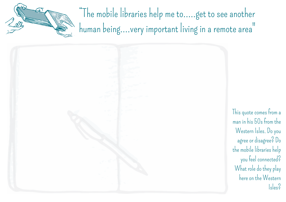

"The mobile libraries help me to.....get to see another human being....very important living in a remote area"



This quote comes from a man in his 50s from the Western Isles. Do you agree or disagree? Do the mobile libraries help you feel connected? What role do they play here on the Western  $|s|$ es?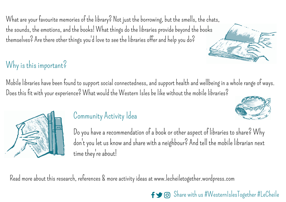What are your favourite memories of the library? Not just the borrowing, but the smells, the chats, the sounds, the emotions, and the books! What things do the libraries provide beyond the books themselves? Are there other things you'd love to see the libraries offer and help you do?

## Why is this important?

Mobile libraries have been found to support social connectedness, and support health and wellbeing in a whole range of ways. Does this fit with your experience? What would the Western Isles be like without the mobile libraries?



## Community Activity Idea

Do you have a recommendation of a book or other aspect of libraries to share? Why don't you let us know and share with a neighbour? And tell the mobile librarian next time they're about!

Read more about this research, references & more activity ideas at [www.lecheiletogether.wordpress.co](http://www.lecheiletogether.wordpress.com/)m

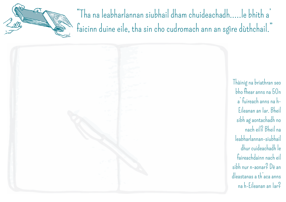

"Tha na leabharlannan siubhail dham chuideachadh.....le bhith a' faicinn duine eile, tha sin cho cudromach ann an sgìre dùthchail."

> Thàinig na briathran seo  $b$ ho fhear anns na  $50<sub>n</sub>$ a' fuireachannsnah-Eileanan an Iar. Bheil sibh ag aontachadh no nacheil? Bheilna leabharlannan-siubhail dhur cuideachadhle faireachdainn nach eil sibh nur n-aonar? Dè an dleastanas a th'aca anns na h-Eileanan an Iar<sup>2</sup>